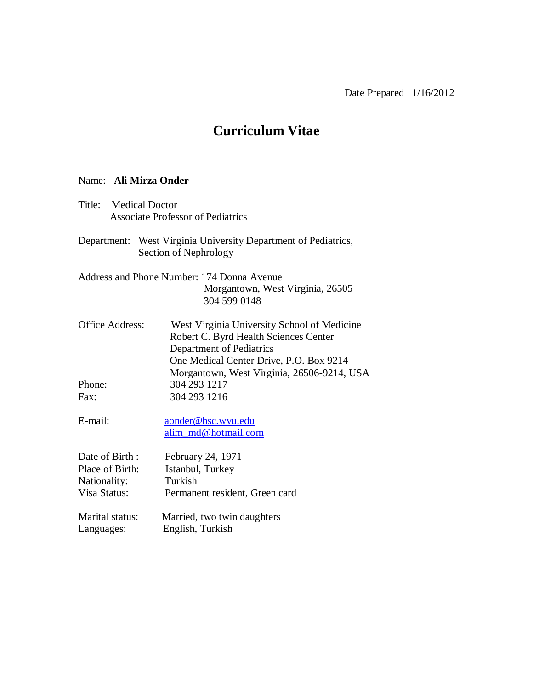# **Curriculum Vitae**

#### Name: **Ali Mirza Onder**

- Title: Medical Doctor Associate Professor of Pediatrics
- Department: West Virginia University Department of Pediatrics, Section of Nephrology
- Address and Phone Number: 174 Donna Avenue Morgantown, West Virginia, 26505 304 599 0148
- Office Address: West Virginia University School of Medicine Robert C. Byrd Health Sciences Center Department of Pediatrics One Medical Center Drive, P.O. Box 9214 Morgantown, West Virginia, 26506-9214, USA Phone: 304 293 1217 Fax: 304 293 1216
- E-mail: aonder@hsc.wvu.edu alim\_md@hotmail.com
- Date of Birth : February 24, 1971 Place of Birth: Istanbul, Turkey Nationality: Turkish Visa Status: Permanent resident, Green card
- Marital status: Married, two twin daughters Languages: English, Turkish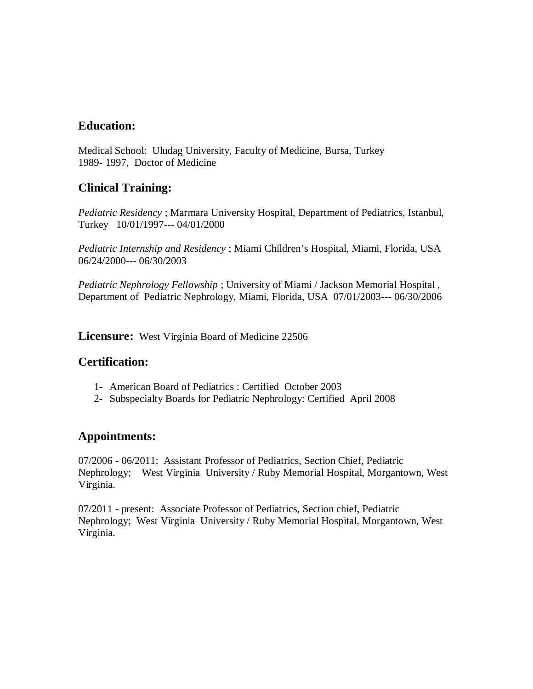# **Education:**

Medical School: Uludag University, Faculty of Medicine, Bursa, Turkey 1989- 1997, Doctor of Medicine

# **Clinical Training:**

*Pediatric Residency* ; Marmara University Hospital, Department of Pediatrics, Istanbul, Turkey 10/01/1997--- 04/01/2000

*Pediatric Internship and Residency* ; Miami Children's Hospital, Miami, Florida, USA 06/24/2000--- 06/30/2003

*Pediatric Nephrology Fellowship* ; University of Miami / Jackson Memorial Hospital , Department of Pediatric Nephrology, Miami, Florida, USA 07/01/2003--- 06/30/2006

**Licensure:** West Virginia Board of Medicine 22506

# **Certification:**

- 1- American Board of Pediatrics : Certified October 2003
- 2- Subspecialty Boards for Pediatric Nephrology: Certified April 2008

# **Appointments:**

07/2006 - 06/2011: Assistant Professor of Pediatrics, Section Chief, Pediatric Nephrology; West Virginia University / Ruby Memorial Hospital, Morgantown, West Virginia.

07/2011 - present: Associate Professor of Pediatrics, Section chief, Pediatric Nephrology; West Virginia University / Ruby Memorial Hospital, Morgantown, West Virginia.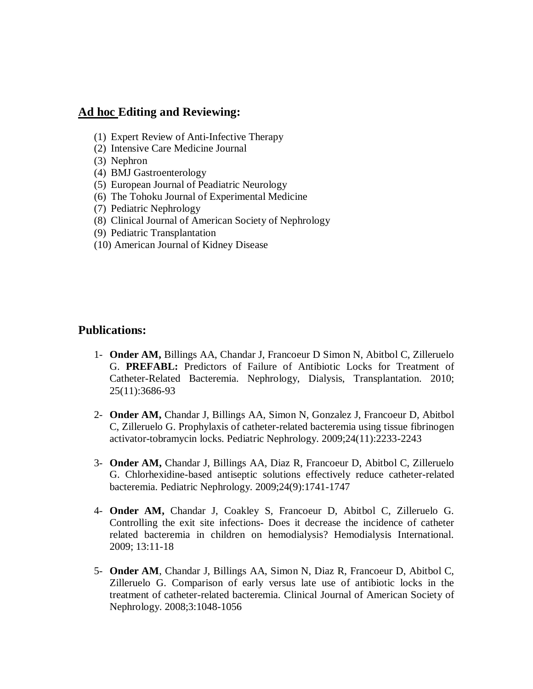### **Ad hoc Editing and Reviewing:**

- (1) Expert Review of Anti-Infective Therapy
- (2) Intensive Care Medicine Journal
- (3) Nephron
- (4) BMJ Gastroenterology
- (5) European Journal of Peadiatric Neurology
- (6) The Tohoku Journal of Experimental Medicine
- (7) Pediatric Nephrology
- (8) Clinical Journal of American Society of Nephrology
- (9) Pediatric Transplantation
- (10) American Journal of Kidney Disease

### **Publications:**

- 1- **Onder AM,** Billings AA, Chandar J, Francoeur D Simon N, Abitbol C, Zilleruelo G. **PREFABL:** Predictors of Failure of Antibiotic Locks for Treatment of Catheter-Related Bacteremia. Nephrology, Dialysis, Transplantation. 2010; 25(11):3686-93
- 2- **Onder AM,** Chandar J, Billings AA, Simon N, Gonzalez J, Francoeur D, Abitbol C, Zilleruelo G. Prophylaxis of catheter-related bacteremia using tissue fibrinogen activator-tobramycin locks. Pediatric Nephrology. 2009;24(11):2233-2243
- 3- **Onder AM,** Chandar J, Billings AA, Diaz R, Francoeur D, Abitbol C, Zilleruelo G. Chlorhexidine-based antiseptic solutions effectively reduce catheter-related bacteremia. Pediatric Nephrology. 2009;24(9):1741-1747
- 4- **Onder AM,** Chandar J, Coakley S, Francoeur D, Abitbol C, Zilleruelo G. Controlling the exit site infections- Does it decrease the incidence of catheter related bacteremia in children on hemodialysis? Hemodialysis International. 2009; 13:11-18
- 5- **Onder AM**, Chandar J, Billings AA, Simon N, Diaz R, Francoeur D, Abitbol C, Zilleruelo G. Comparison of early versus late use of antibiotic locks in the treatment of catheter-related bacteremia. Clinical Journal of American Society of Nephrology. 2008;3:1048-1056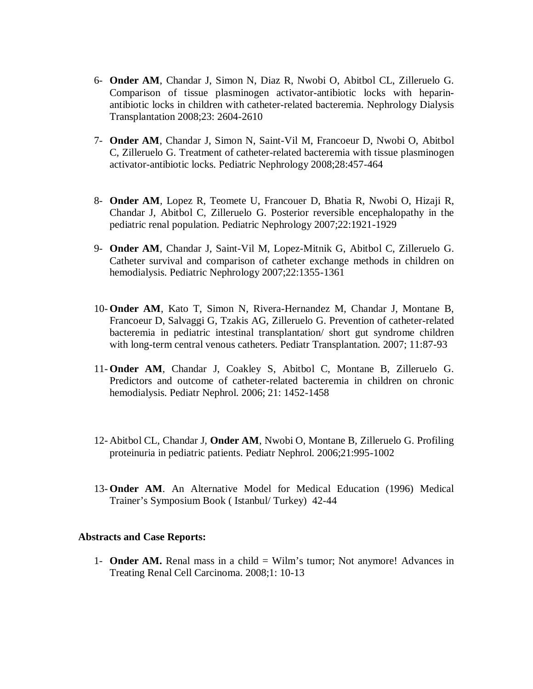- 6- **Onder AM**, Chandar J, Simon N, Diaz R, Nwobi O, Abitbol CL, Zilleruelo G. Comparison of tissue plasminogen activator-antibiotic locks with heparinantibiotic locks in children with catheter-related bacteremia. Nephrology Dialysis Transplantation 2008;23: 2604-2610
- 7- **Onder AM**, Chandar J, Simon N, Saint-Vil M, Francoeur D, Nwobi O, Abitbol C, Zilleruelo G. Treatment of catheter-related bacteremia with tissue plasminogen activator-antibiotic locks. Pediatric Nephrology 2008;28:457-464
- 8- **Onder AM**, Lopez R, Teomete U, Francouer D, Bhatia R, Nwobi O, Hizaji R, Chandar J, Abitbol C, Zilleruelo G. Posterior reversible encephalopathy in the pediatric renal population. Pediatric Nephrology 2007;22:1921-1929
- 9- **Onder AM**, Chandar J, Saint-Vil M, Lopez-Mitnik G, Abitbol C, Zilleruelo G. Catheter survival and comparison of catheter exchange methods in children on hemodialysis. Pediatric Nephrology 2007;22:1355-1361
- 10- **Onder AM**, Kato T, Simon N, Rivera-Hernandez M, Chandar J, Montane B, Francoeur D, Salvaggi G, Tzakis AG, Zilleruelo G. Prevention of catheter-related bacteremia in pediatric intestinal transplantation/ short gut syndrome children with long-term central venous catheters. Pediatr Transplantation. 2007; 11:87-93
- 11- **Onder AM**, Chandar J, Coakley S, Abitbol C, Montane B, Zilleruelo G. Predictors and outcome of catheter-related bacteremia in children on chronic hemodialysis. Pediatr Nephrol. 2006; 21: 1452-1458
- 12- Abitbol CL, Chandar J, **Onder AM**, Nwobi O, Montane B, Zilleruelo G. Profiling proteinuria in pediatric patients. Pediatr Nephrol. 2006;21:995-1002
- 13- **Onder AM**. An Alternative Model for Medical Education (1996) Medical Trainer's Symposium Book ( Istanbul/ Turkey) 42-44

#### **Abstracts and Case Reports:**

1- **Onder AM.** Renal mass in a child = Wilm's tumor; Not anymore! Advances in Treating Renal Cell Carcinoma. 2008;1: 10-13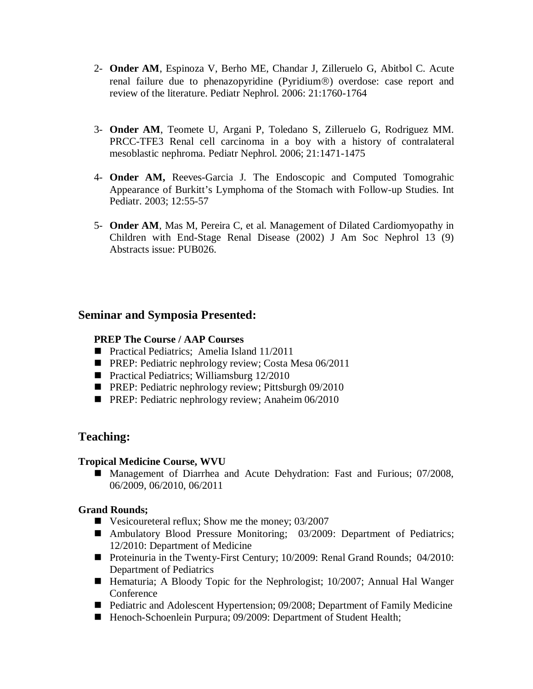- 2- **Onder AM**, Espinoza V, Berho ME, Chandar J, Zilleruelo G, Abitbol C. Acute renal failure due to phenazopyridine (Pyridium®) overdose: case report and review of the literature. Pediatr Nephrol. 2006: 21:1760-1764
- 3- **Onder AM**, Teomete U, Argani P, Toledano S, Zilleruelo G, Rodriguez MM. PRCC-TFE3 Renal cell carcinoma in a boy with a history of contralateral mesoblastic nephroma. Pediatr Nephrol. 2006; 21:1471-1475
- 4- **Onder AM,** Reeves-Garcia J. The Endoscopic and Computed Tomograhic Appearance of Burkitt's Lymphoma of the Stomach with Follow-up Studies. Int Pediatr. 2003; 12:55-57
- 5- **Onder AM**, Mas M, Pereira C, et al. Management of Dilated Cardiomyopathy in Children with End-Stage Renal Disease (2002) J Am Soc Nephrol 13 (9) Abstracts issue: PUB026.

# **Seminar and Symposia Presented:**

### **PREP The Course / AAP Courses**

- **Practical Pediatrics: Amelia Island 11/2011**
- **PREP: Pediatric nephrology review; Costa Mesa 06/2011**
- **Practical Pediatrics; Williamsburg 12/2010**
- **PREP: Pediatric nephrology review; Pittsburgh 09/2010**
- **PREP:** Pediatric nephrology review; Anaheim 06/2010

# **Teaching:**

### **Tropical Medicine Course, WVU**

■ Management of Diarrhea and Acute Dehydration: Fast and Furious; 07/2008, 06/2009, 06/2010, 06/2011

### **Grand Rounds;**

- Vesicoureteral reflux; Show me the money;  $03/2007$
- Ambulatory Blood Pressure Monitoring; 03/2009: Department of Pediatrics; 12/2010: Department of Medicine
- Proteinuria in the Twenty-First Century; 10/2009: Renal Grand Rounds; 04/2010: Department of Pediatrics
- Hematuria; A Bloody Topic for the Nephrologist; 10/2007; Annual Hal Wanger Conference
- Pediatric and Adolescent Hypertension; 09/2008; Department of Family Medicine
- Henoch-Schoenlein Purpura; 09/2009: Department of Student Health;